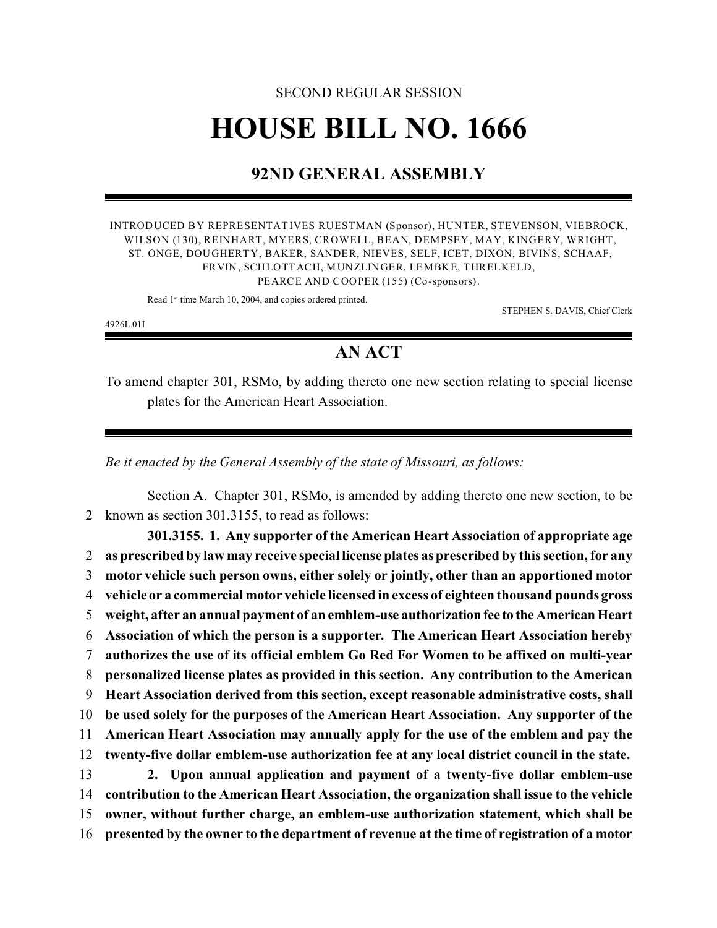## SECOND REGULAR SESSION **HOUSE BILL NO. 1666**

## **92ND GENERAL ASSEMBLY**

INTRODUCED BY REPRESENTATIVES RUESTMAN (Sponsor), HUNTER, STEVENSON, VIEBROCK, WILSON (130), REINHART, MYERS, CROWELL, BEAN, DEMPSEY, MAY, KINGERY, WRIGHT, ST. ONGE, DOUGHERTY, BAKER, SANDER, NIEVES, SELF, ICET, DIXON, BIVINS, SCHAAF, ERVIN, SCHLOTTACH, MUNZLINGER, LEMBKE, THRELKELD, PEARCE AND COOPER (155) (Co-sponsors).

Read 1<sup>st</sup> time March 10, 2004, and copies ordered printed.

STEPHEN S. DAVIS, Chief Clerk

4926L.01I

## **AN ACT**

To amend chapter 301, RSMo, by adding thereto one new section relating to special license plates for the American Heart Association.

*Be it enacted by the General Assembly of the state of Missouri, as follows:*

Section A. Chapter 301, RSMo, is amended by adding thereto one new section, to be 2 known as section 301.3155, to read as follows:

**301.3155. 1. Any supporter of the American Heart Association of appropriate age as prescribed by law may receive special license plates as prescribed by this section, for any motor vehicle such person owns, either solely or jointly, other than an apportioned motor vehicle or a commercial motor vehicle licensed in excess of eighteen thousand pounds gross weight, after an annual payment of an emblem-use authorizationfee to the American Heart Association of which the person is a supporter. The American Heart Association hereby authorizes the use of its official emblem Go Red For Women to be affixed on multi-year personalized license plates as provided in this section. Any contribution to the American Heart Association derived from this section, except reasonable administrative costs, shall be used solely for the purposes of the American Heart Association. Any supporter of the American Heart Association may annually apply for the use of the emblem and pay the twenty-five dollar emblem-use authorization fee at any local district council in the state. 2. Upon annual application and payment of a twenty-five dollar emblem-use contribution to the American Heart Association, the organization shall issue to the vehicle owner, without further charge, an emblem-use authorization statement, which shall be presented by the owner to the department of revenue at the time of registration of a motor**